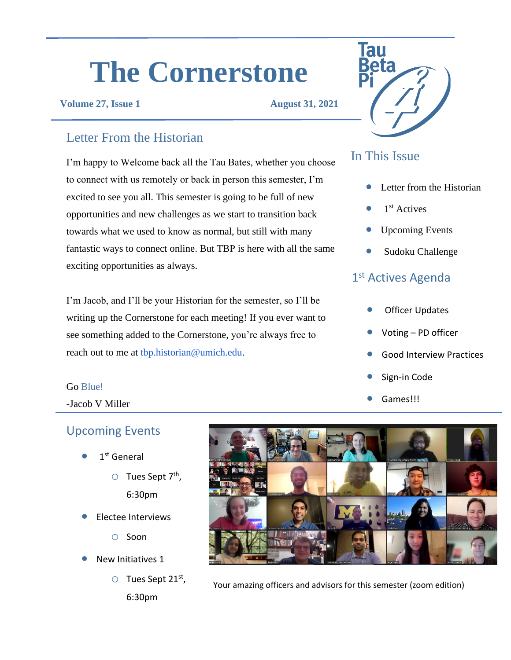# **The Cornerstone**

#### **Volume 27, Issue 1 August 31, 2021**

#### Letter From the Historian

I'm happy to Welcome back all the Tau Bates, whether you choose to connect with us remotely or back in person this semester, I'm excited to see you all. This semester is going to be full of new opportunities and new challenges as we start to transition back towards what we used to know as normal, but still with many fantastic ways to connect online. But TBP is here with all the same exciting opportunities as always.

I'm Jacob, and I'll be your Historian for the semester, so I'll be writing up the Cornerstone for each meeting! If you ever want to see something added to the Cornerstone, you're always free to reach out to me at the historian@umich.edu.

#### Go Blue!

-Jacob V Miller

#### Upcoming Events

- $\bullet$  1<sup>st</sup> General
	- O Tues Sept 7<sup>th</sup>, 6:30pm
	-
- Electee Interviews
	- o Soon
- New Initiatives 1
	- $\circ$  Tues Sept 21st, 6:30pm



### In This Issue

- Letter from the Historian
- $\bullet$  1<sup>st</sup> Actives
- Upcoming Events
- Sudoku Challenge

#### 1<sup>st</sup> Actives Agenda

- **Officer Updates**
- Voting PD officer
- Good Interview Practices
- Sign-in Code
- Games!!!



Your amazing officers and advisors for this semester (zoom edition)